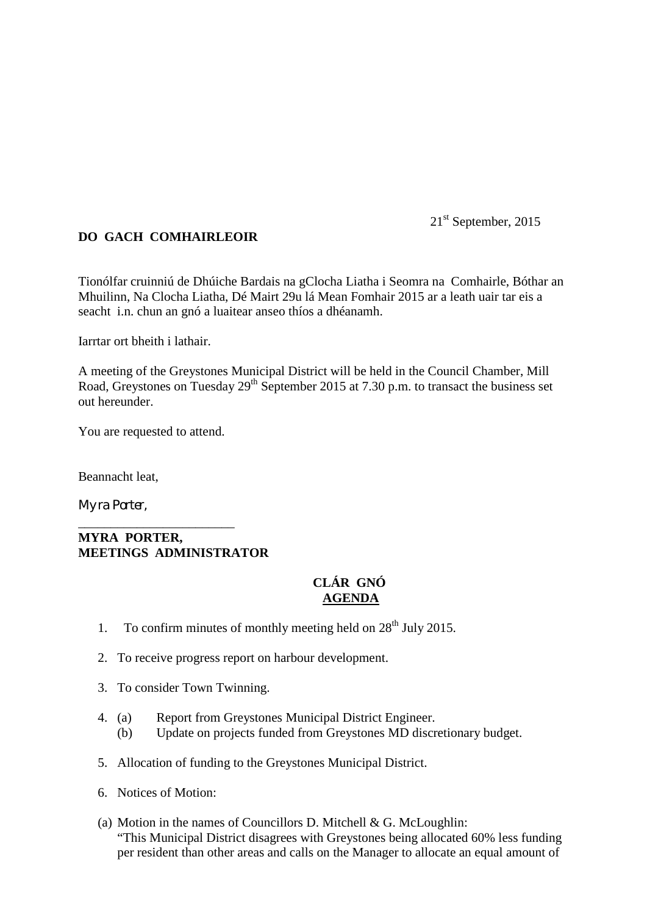21<sup>st</sup> September, 2015

## **DO GACH COMHAIRLEOIR**

Tionólfar cruinniú de Dhúiche Bardais na gClocha Liatha i Seomra na Comhairle, Bóthar an Mhuilinn, Na Clocha Liatha, Dé Mairt 29u lá Mean Fomhair 2015 ar a leath uair tar eis a seacht i.n. chun an gnó a luaitear anseo thíos a dhéanamh.

Iarrtar ort bheith i lathair.

A meeting of the Greystones Municipal District will be held in the Council Chamber, Mill Road, Greystones on Tuesday  $29<sup>th</sup>$  September 2015 at 7.30 p.m. to transact the business set out hereunder.

You are requested to attend.

Beannacht leat,

Myra Porter,

## **MYRA PORTER, MEETINGS ADMINISTRATOR**

\_\_\_\_\_\_\_\_\_\_\_\_\_\_\_\_\_\_\_\_\_\_\_\_

## **CLÁR GNÓ AGENDA**

- 1. To confirm minutes of monthly meeting held on  $28<sup>th</sup>$  July 2015.
- 2. To receive progress report on harbour development.
- 3. To consider Town Twinning.
- 4. (a) Report from Greystones Municipal District Engineer.
	- (b) Update on projects funded from Greystones MD discretionary budget.
- 5. Allocation of funding to the Greystones Municipal District.
- 6. Notices of Motion:
- (a) Motion in the names of Councillors D. Mitchell & G. McLoughlin: "This Municipal District disagrees with Greystones being allocated 60% less funding per resident than other areas and calls on the Manager to allocate an equal amount of